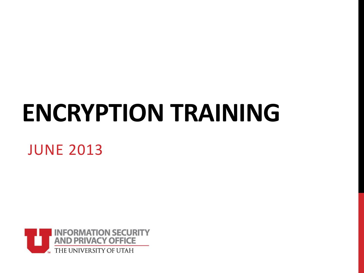# **ENCRYPTION TRAINING**

#### JUNE 2013

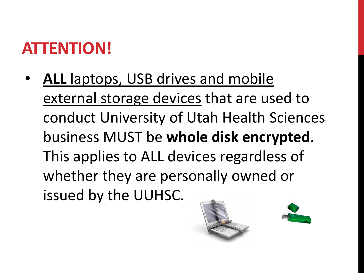## **ATTENTION!**

• **ALL** laptops, USB drives and mobile external storage devices that are used to conduct University of Utah Health Sciences business MUST be **whole disk encrypted**. This applies to ALL devices regardless of whether they are personally owned or issued by the UUHSC.



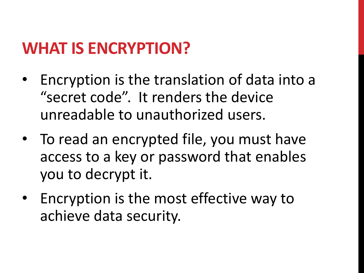### **WHAT IS ENCRYPTION?**

- Encryption is the translation of data into a "secret code". It renders the device unreadable to unauthorized users.
- To read an encrypted file, you must have access to a key or password that enables you to decrypt it.
- Encryption is the most effective way to achieve data security.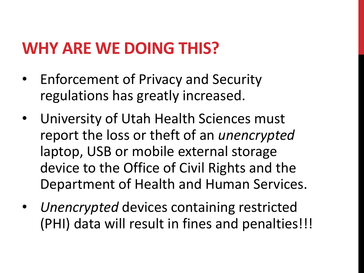## **WHY ARE WE DOING THIS?**

- Enforcement of Privacy and Security regulations has greatly increased.
- University of Utah Health Sciences must report the loss or theft of an *unencrypted* laptop, USB or mobile external storage device to the Office of Civil Rights and the Department of Health and Human Services.
- *Unencrypted* devices containing restricted (PHI) data will result in fines and penalties!!!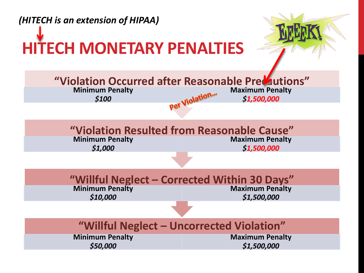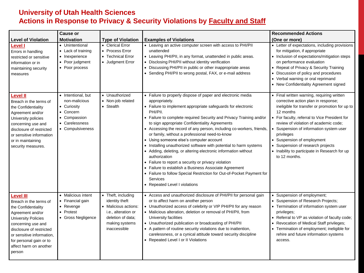#### **University of Utah Health Sciences Actions in Response to Privacy & Security Violations by Faculty and Staff**

|                                                                                                                                                                                                                                                                   | <b>Cause or</b>                                                                                                       |                                                                                                                                            |                                                                                                                                                                                                                                                                                                                                                                                                                                                                                                                                                                                                                                                                                                                                                                                                                                                            | <b>Recommended Actions</b>                                                                                                                                                                                                                                                                                                                                                                                                             |
|-------------------------------------------------------------------------------------------------------------------------------------------------------------------------------------------------------------------------------------------------------------------|-----------------------------------------------------------------------------------------------------------------------|--------------------------------------------------------------------------------------------------------------------------------------------|------------------------------------------------------------------------------------------------------------------------------------------------------------------------------------------------------------------------------------------------------------------------------------------------------------------------------------------------------------------------------------------------------------------------------------------------------------------------------------------------------------------------------------------------------------------------------------------------------------------------------------------------------------------------------------------------------------------------------------------------------------------------------------------------------------------------------------------------------------|----------------------------------------------------------------------------------------------------------------------------------------------------------------------------------------------------------------------------------------------------------------------------------------------------------------------------------------------------------------------------------------------------------------------------------------|
| <b>Level of Violation</b>                                                                                                                                                                                                                                         | <b>Motivation</b>                                                                                                     | <b>Type of Violation</b>                                                                                                                   | <b>Examples of Violations</b>                                                                                                                                                                                                                                                                                                                                                                                                                                                                                                                                                                                                                                                                                                                                                                                                                              | (One or more)                                                                                                                                                                                                                                                                                                                                                                                                                          |
| <b>Level I</b><br>Errors in handling<br>restricted or sensitive<br>information or in<br>maintaining security<br>measures                                                                                                                                          | • Unintentional<br>• Lack of training<br>• Inexperience<br>• Poor judgment<br>• Poor process                          | • Clerical Error<br>• Process Error<br>• Technical Error<br>• Judgment Error                                                               | • Leaving an active computer screen with access to PHI/PII<br>unattended<br>• Leaving PHI/PII, in any format, unattended in public areas.<br>• Disclosing PHI/PII without identity verification<br>• Discussing PHI/PII in public or other inappropriate areas<br>• Sending PHI/PII to wrong postal, FAX, or e-mail address                                                                                                                                                                                                                                                                                                                                                                                                                                                                                                                                | • Letter of expectations, including provisions<br>for mitigation, if appropriate<br>• Inclusion of expectations/mitigation steps<br>on performance evaluation<br>• Repeat of Privacy & Security Training<br>• Discussion of policy and procedures<br>• Verbal warning or oral reprimand<br>• New Confidentiality Agreement signed                                                                                                      |
| <b>Level II</b><br>Breach in the terms of<br>the Confidentiality<br>Agreement and/or<br>University policies<br>concerning use and<br>disclosure of restricted<br>or sensitive information<br>or in maintaining<br>security measures.                              | • Intentional, but<br>non-malicious<br>• Curiosity<br>• Concern<br>• Compassion<br>• Carelessness<br>• Compulsiveness | • Unauthorized<br>• Non-job related<br>• Stealth                                                                                           | • Failure to properly dispose of paper and electronic media<br>appropriately.<br>• Failure to implement appropriate safeguards for electronic<br>PHI/PII.<br>• Failure to complete required Security and Privacy Training and/or<br>to sign appropriate Confidentiality Agreements<br>• Accessing the record of any person, including co-workers, friends,<br>or family, without a professional need-to-know<br>• Using someone else's computer account<br>• Installing unauthorized software with potential to harm systems<br>• Adding, deleting, or altering electronic information without<br>authorization<br>• Failure to report a security or privacy violation<br>• Failure to establish a Business Associate Agreement<br>Failure to follow Special Restriction for Out-of-Pocket Payment for<br><b>Services</b><br>• Repeated Level I violations | • Final written warning, requiring written<br>corrective action plan in response;<br>ineligible for transfer or promotion for up to<br>12 months<br>• For faculty, referral to Vice President for<br>review of violation of academic code;<br>• Suspension of information system user<br>privileges<br>Suspension of employment<br>• Suspension of research projects<br>• Inability to participate in Research for up<br>to 12 months. |
| <b>Level III</b><br>Breach in the terms of<br>the Confidentiality<br>Agreement and/or<br><b>University Policies</b><br>concerning use and<br>disclosure of restricted<br>or sensitive information,<br>for personal gain or to<br>affect harm on another<br>person | • Malicious intent<br>• Financial gain<br>• Revenge<br>• Protest<br>• Gross Negligence                                | • Theft, including<br>identity theft<br>• Malicious actions:<br>i.e., alteration or<br>deletion of data;<br>making systems<br>inaccessible | • Access and unauthorized disclosure of PHI/PII for personal gain<br>or to affect harm on another person<br>• Unauthorized access of celebrity or VIP PHI/PII for any reason<br>• Malicious alteration, deletion or removal of PHI/PII, from<br>University facilities<br>• Unauthorized publication or broadcasting of PHI/PII<br>• A pattern of routine security violations due to inattention,<br>carelessness, or a cynical attitude toward security discipline<br>• Repeated Level I or II Violations                                                                                                                                                                                                                                                                                                                                                  | • Suspension of employment;<br>• Suspension of Research Projects;<br>• Termination of information system user<br>privileges;<br>• Referral to VP as violation of faculty code;<br>• Revocation of Medical Staff privileges;<br>• Termination of employment; ineligible for<br>rehire and future information systems<br>access.                                                                                                         |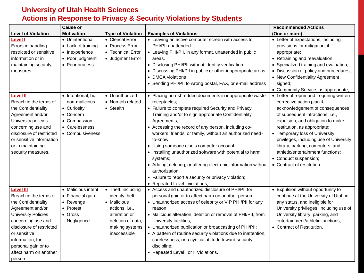#### **University of Utah Health Sciences Actions in Response to Privacy & Security Violations by Students**

|                            | <b>Cause or</b>    |                          |                                                                                  | <b>Recommended Actions</b>               |
|----------------------------|--------------------|--------------------------|----------------------------------------------------------------------------------|------------------------------------------|
| <b>Level of Violation</b>  | <b>Motivation</b>  | <b>Type of Violation</b> | <b>Examples of Violations</b>                                                    | (One or more)                            |
| <b>Level I</b>             | • Unintentional    | • Clerical Error         | • Leaving an active computer screen with access to                               | • Letter of expectations, including      |
| Errors in handling         | • Lack of training | • Process Error          | PHI/PII unattended                                                               | provisions for mitigation, if            |
| restricted or sensitive    | • Inexperience     | • Technical Error        | • Leaving PHI/PII, in any format, unattended in public                           | appropriate;                             |
| information or in          | • Poor judgment    | • Judgment Error         | areas.                                                                           | • Retraining and reevaluation;           |
| maintaining security       | • Poor process     |                          | • Disclosing PHI/PII without identity verification                               | • Specialized training and evaluation;   |
| measures                   |                    |                          | • Discussing PHI/PII in public or other inappropriate areas                      | • Discussion of policy and procedures;   |
|                            |                    |                          | • DMCA violations                                                                | • New Confidentiality Agreement          |
|                            |                    |                          | • Sending PHI/PII to wrong postal, FAX, or e-mail address                        | signed;                                  |
|                            |                    |                          |                                                                                  | • Community Service, as appropriate;     |
| Level II                   | • Intentional, but | • Unauthorized           | • Placing non-shredded documents in inappropriate waste                          | • Letter of reprimand, requiring written |
| Breach in the terms of     | non-malicious      | • Non-job related        | receptacles;                                                                     | corrective action plan &                 |
| the Confidentiality        | • Curiosity        | • Stealth                | • Failure to complete required Security and Privacy                              | acknowledgement of consequences          |
| Agreement and/or           | • Concern          |                          | Training and/or to sign appropriate Confidentiality                              | of subsequent infractions; i.e.,         |
| University policies        | • Compassion       |                          | Agreements:                                                                      | expulsion, and obligation to make        |
| concerning use and         | • Carelessness     |                          | • Accessing the record of any person, including co-                              | restitution, as appropriate;             |
| disclosure of restricted   | • Compulsiveness   |                          | workers, friends, or family, without an authorized need-                         | • Temporary loss of University           |
| or sensitive information   |                    |                          | to-know;                                                                         | privileges, including use of University  |
| or in maintaining          |                    |                          | • Using someone else's computer account;                                         | library, parking, computers, and         |
| security measures.         |                    |                          | • Installing unauthorized software with potential to harm                        | athletic/entertainment functions;        |
|                            |                    |                          | systems;                                                                         | • Conduct suspension;                    |
|                            |                    |                          | • Adding, deleting, or altering electronic information without<br>authorization; | • Contract of restitution                |
|                            |                    |                          | • Failure to report a security or privacy violation;                             |                                          |
|                            |                    |                          | • Repeated Level I violations:                                                   |                                          |
| <b>Level III</b>           | • Malicious intent | • Theft, including       | • Access and unauthorized disclosure of PHI/PII for                              | • Expulsion without opportunity to       |
| Breach in the terms of     | • Financial gain   | identity theft           | personal gain or to affect harm on another person;                               | continue at the University of Utah in    |
| the Confidentiality        | $\bullet$ Revenge  | • Malicious              | • Unauthorized access of celebrity or VIP PHI/PII for any                        | any status, and ineligible for           |
| Agreement and/or           | • Protest          | actions: i.e.,           | reason;                                                                          | University privileges, including use of  |
| <b>University Policies</b> | $\bullet$ Gross    | alteration or            | • Malicious alteration, deletion or removal of PHI/PII, from                     | University library, parking, and         |
| concerning use and         | Negligence         | deletion of data;        | University facilities;                                                           | entertainment/athletic functions;        |
| disclosure of restricted   |                    | making systems           | • Unauthorized publication or broadcasting of PHI/PII;                           | • Contract of Restitution.               |
| or sensitive               |                    | inaccessible             | • A pattern of routine security violations due to inattention,                   |                                          |
| information, for           |                    |                          | carelessness, or a cynical attitude toward security                              |                                          |
| personal gain or to        |                    |                          | discipline;                                                                      |                                          |
| affect harm on another     |                    |                          | • Repeated Level I or II Violations.                                             |                                          |
| person                     |                    |                          |                                                                                  |                                          |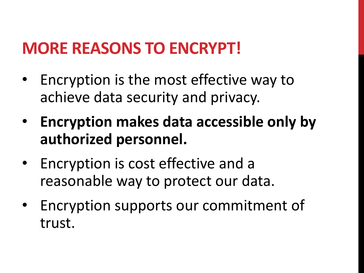## **MORE REASONS TO ENCRYPT!**

- Encryption is the most effective way to achieve data security and privacy.
- **Encryption makes data accessible only by authorized personnel.**
- Encryption is cost effective and a reasonable way to protect our data.
- Encryption supports our commitment of trust.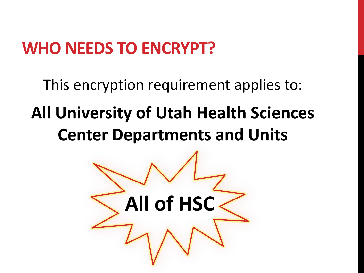## **WHO NEEDS TO ENCRYPT?**

This encryption requirement applies to:

## **All University of Utah Health Sciences Center Departments and Units**

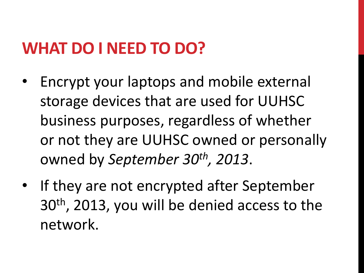### **WHAT DO I NEED TO DO?**

- Encrypt your laptops and mobile external storage devices that are used for UUHSC business purposes, regardless of whether or not they are UUHSC owned or personally owned by *September 30th, 2013*.
- If they are not encrypted after September 30th, 2013, you will be denied access to the network.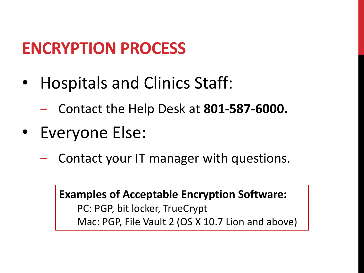### **ENCRYPTION PROCESS**

- Hospitals and Clinics Staff:
	- ‒ Contact the Help Desk at **801-587-6000.**
- Everyone Else:
	- ‒ Contact your IT manager with questions.

**Examples of Acceptable Encryption Software:** PC: PGP, bit locker, TrueCrypt Mac: PGP, File Vault 2 (OS X 10.7 Lion and above)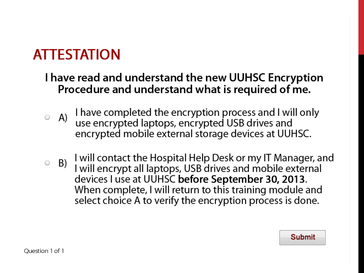#### **ATTESTATION**

#### I have read and understand the new UUHSC Encryption Procedure and understand what is required of me.

- $\circ$  A) I have completed the encryption process and I will only use encrypted laptops, encrypted USB drives and encrypted mobile external storage devices at UUHSC.
- I will contact the Hospital Help Desk or my IT Manager, and  $B)$ O I will encrypt all laptops, USB drives and mobile external devices I use at UUHSC before September 30, 2013. When complete, I will return to this training module and select choice A to verify the encryption process is done.